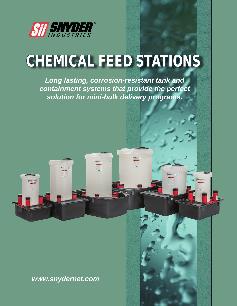

# CHEMICAL FEED STATIONS

*Long lasting, corrosion-resistant tank and containment systems that provide the perfect solution for mini-bulk delivery programs.*

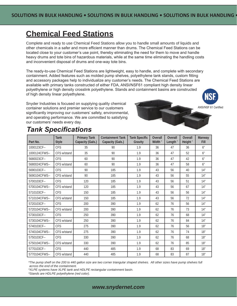## **Chemical Feed Stations**

Complete and ready to use Chemical Feed Stations allow you to handle small amounts of liquids and other chemicals in a safer and more efficient manner than drums. The Chemical Feed Stations can be located close to your customer's use point, thereby eliminating the need for them to move and handle heavy drums and tote bins of hazardous materials, while at the same time eliminating the handling costs and inconvenient disposal of drums and one-way tote bins.

The ready-to-use Chemical Feed Stations are lightweight, easy to handle, and complete with secondary containment. Added features such as molded pump shelves, polyethylene tank stands, custom fitting and accessory packages help to individualize any customer's needs. The Chemical Feed Stations are available with primary tanks constructed of either FDA, ANSI/NSF61 compliant high density linear polyethylene or high density crosslink polyethylene. Stands and containment basins are constructed of high density linear polyethylene.



Snyder Industries is focused on supplying quality chemical container solutions and premier service to our customers significantly improving our customers' safety, environmental, and operating performance. We are committed to satisfying our customers' needs every day.

# ANSI/NSF 61 Certified

### *Tank Specifications*

| Part No.      | <b>Tank</b><br><b>Style</b> | <b>Primary Tank</b><br>Capacity (Gals.) | <b>Containment Tank</b><br>Capacity (Gals.) | <b>Tank Specific</b><br>Gravity | Overall<br>Width" | Overall<br>Length" | Overall<br>Height" | Manway<br>Fill |
|---------------|-----------------------------|-----------------------------------------|---------------------------------------------|---------------------------------|-------------------|--------------------|--------------------|----------------|
| 1000123CF--   | <b>CFS</b>                  | 35                                      | 90                                          | 1.9                             | 36                | 47                 | 36                 | 6 <sup>n</sup> |
| 1000124CFWS-- | CFS w/stand                 | 35                                      | 90                                          | 1.9                             | 36                | 47                 | 52                 | 6 <sup>n</sup> |
| 5680023CF--   | <b>CFS</b>                  | 60                                      | 90                                          | 1.9                             | 36                | 47                 | 42                 | 6 <sup>n</sup> |
| 5680024CFWS-- | CFS w/stand                 | 60                                      | 90                                          | 1.9                             | 36                | 47                 | 58                 | 6 <sup>n</sup> |
| 5690103CF--   | <b>CFS</b>                  | 90                                      | 185                                         | 1.9                             | 43                | 56                 | 40                 | 14"            |
| 5690104CFWS-- | CFS w/stand                 | 90                                      | 185                                         | 1.9                             | 43                | 56                 | 55                 | 14"            |
| 5700103CF--   | <b>CFS</b>                  | 120                                     | 185                                         | 1.9                             | 43                | 56                 | 51                 | 14"            |
| 5700104CFWS-- | CFS w/stand                 | 120                                     | 185                                         | 1.9                             | 43                | 56                 | 67                 | 14"            |
| 5710103CF--   | <b>CFS</b>                  | 150                                     | 185                                         | 1.9                             | 43                | 56                 | 56                 | 14"            |
| 5710104CFWS-- | CFS w/stand                 | 150                                     | 185                                         | 1.9                             | 43                | 56                 | 72                 | 14"            |
| 5720103CF--   | <b>CFS</b>                  | 200                                     | 390                                         | 1.9                             | 62                | 76                 | 56                 | 14"            |
| 5720104CFWS-- | CFS w/stand                 | 200                                     | 390                                         | 1.9                             | 62                | 76                 | 73                 | 14"            |
| 5730103CF--   | <b>CFS</b>                  | 250                                     | 390                                         | 1.9                             | 62                | 76                 | 68                 | 14"            |
| 5730104CFWS-- | CFS w/stand                 | 250                                     | 390                                         | 1.9                             | 62                | 76                 | 84                 | 14"            |
| 5740103CF--   | <b>CFS</b>                  | 275                                     | 390                                         | 1.9                             | 62                | 76                 | 56                 | 18"            |
| 5740104CFWS-- | CFS w/stand                 | 275                                     | 390                                         | 1.9                             | 62                | 76                 | 74                 | 18"            |
| 5750103CF--   | <b>CFS</b>                  | 330                                     | 390                                         | 1.9                             | 62                | 76                 | 68                 | 18"            |
| 5750104CFWS-- | CFS w/stand                 | 330                                     | 390                                         | 1.9                             | 62                | 76                 | 85                 | 18"            |
| 5770103CF--   | <b>CFS</b>                  | 440                                     | 485                                         | 1.9                             | 68                | 83                 | 69                 | 18"            |
| 5770104CFWS-- | CFS w/stand                 | 440                                     | 485                                         | 1.9                             | 68                | 83                 | 87                 | 18"            |

*\*The pump shelf on the 200 to 440 gallon size are two corner triangular shaped shelves. All other sizes have pump shelves full across the end of the containment.*

*\*XLPE systems have XLPE tank and HDLPE rectangular containment basin.* 

*\*Stands are HDLPE polyethylene (red color).*

#### *www.snydernet.com*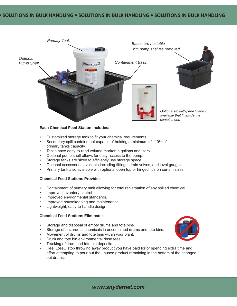

#### **Each Chemical Feed Station includes:**

- Customized storage tank to fit your chemical requirements.
- Secondary spill containment capable of holding a minimum of 110% of primary tanks capacity.
- Tanks have easy-to-read volume marker in gallons and liters.
- Optional pump shelf allows for easy access to the pump.
- Storage tanks are sized to efficiently use storage space.
- Optional accessories available including fittings, drain valves, and level gauges.
- Primary tank also available with optional open top or hinged lids on certain sizes.

#### **Chemical Feed Stations Provide:**

- Containment of primary tank allowing for total reclamation of any spilled chemical.
- Improved inventory control.
- Improved environmental standards.
- Improved housekeeping and maintenance.
- Lightweight, easy-to-handle design.

#### **Chemical Feed Stations Eliminate:**

- Storage and disposal of empty drums and tote bins.
- Storage of hazardous chemicals in uncontained drums and tote bins.
- Movement of drums and tote bins within your plant.
- Drum and tote bin environmental rinse fees.
- Tracking of drum and tote bin deposits.
- Heel Loss...stop throwing away product you have paid for or spending extra time and effort attempting to pour out the unused product remaining in the bottom of the changed out drums.



#### *www.snydernet.com*